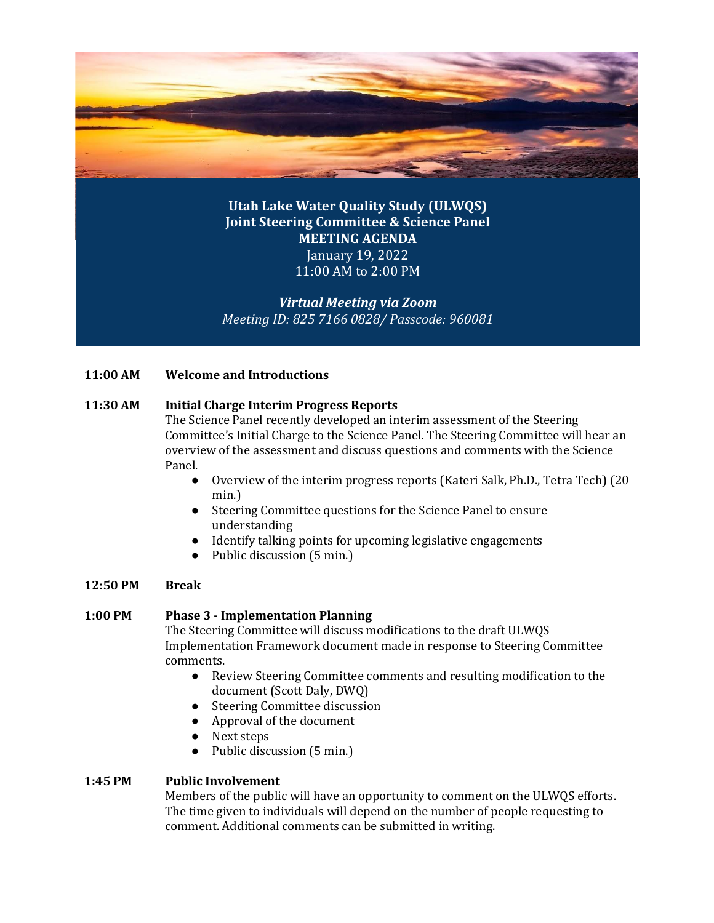

**Utah Lake Water Quality Study (ULWQS) Joint Steering Committee & Science Panel MEETING AGENDA** January 19, 2022 11:00 AM to 2:00 PM

*Virtual Meeting via Zoom Meeting ID: 825 7166 0828/ Passcode: 960081*

# **11:00 AM Welcome and Introductions**

# **11:30 AM Initial Charge Interim Progress Reports**

The Science Panel recently developed an interim assessment of the Steering Committee's Initial Charge to the Science Panel. The Steering Committee will hear an overview of the assessment and discuss questions and comments with the Science Panel.

- Overview of the interim progress reports (Kateri Salk, Ph.D., Tetra Tech) (20 min.)
- Steering Committee questions for the Science Panel to ensure understanding
- Identify talking points for upcoming legislative engagements
- Public discussion (5 min.)

# **12:50 PM Break**

# **1:00 PM Phase 3 - Implementation Planning**

The Steering Committee will discuss modifications to the draft ULWQS Implementation Framework document made in response to Steering Committee comments.

- Review Steering Committee comments and resulting modification to the document (Scott Daly, DWQ)
- Steering Committee discussion
- Approval of the document
- Next steps
- Public discussion (5 min.)

# **1:45 PM Public Involvement**

Members of the public will have an opportunity to comment on the ULWQS efforts. The time given to individuals will depend on the number of people requesting to comment. Additional comments can be submitted in writing.